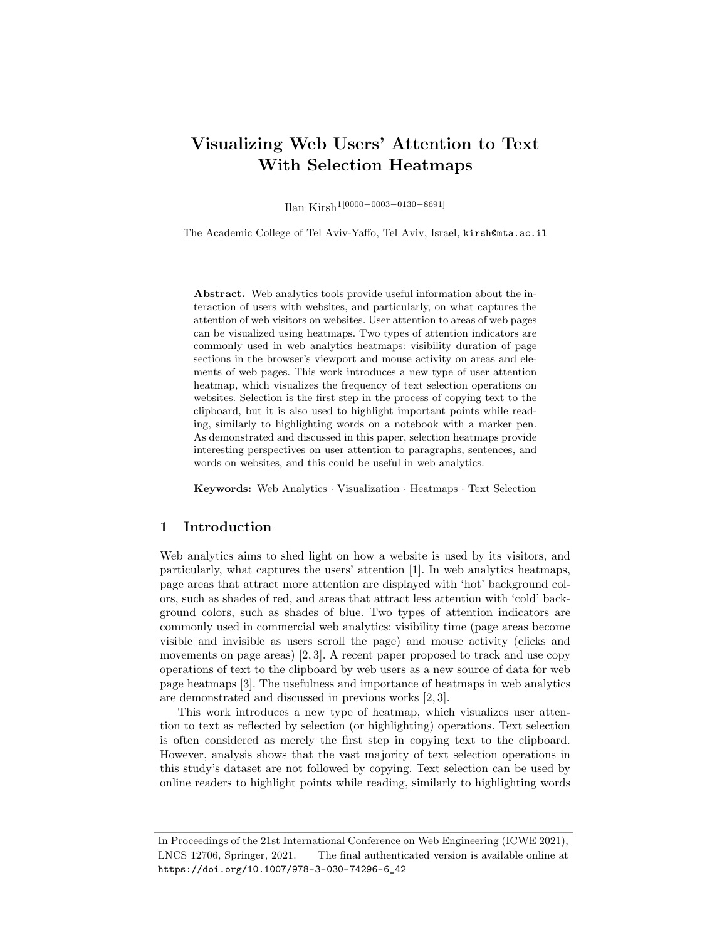# Visualizing Web Users' Attention to Text With Selection Heatmaps

Ilan Kirsh1[0000−0003−0130−8691]

The Academic College of Tel Aviv-Yaffo, Tel Aviv, Israel, kirsh@mta.ac.il

Abstract. Web analytics tools provide useful information about the interaction of users with websites, and particularly, on what captures the attention of web visitors on websites. User attention to areas of web pages can be visualized using heatmaps. Two types of attention indicators are commonly used in web analytics heatmaps: visibility duration of page sections in the browser's viewport and mouse activity on areas and elements of web pages. This work introduces a new type of user attention heatmap, which visualizes the frequency of text selection operations on websites. Selection is the first step in the process of copying text to the clipboard, but it is also used to highlight important points while reading, similarly to highlighting words on a notebook with a marker pen. As demonstrated and discussed in this paper, selection heatmaps provide interesting perspectives on user attention to paragraphs, sentences, and words on websites, and this could be useful in web analytics.

Keywords: Web Analytics · Visualization · Heatmaps · Text Selection

# 1 Introduction

Web analytics aims to shed light on how a website is used by its visitors, and particularly, what captures the users' attention [1]. In web analytics heatmaps, page areas that attract more attention are displayed with 'hot' background colors, such as shades of red, and areas that attract less attention with 'cold' background colors, such as shades of blue. Two types of attention indicators are commonly used in commercial web analytics: visibility time (page areas become visible and invisible as users scroll the page) and mouse activity (clicks and movements on page areas) [2, 3]. A recent paper proposed to track and use copy operations of text to the clipboard by web users as a new source of data for web page heatmaps [3]. The usefulness and importance of heatmaps in web analytics are demonstrated and discussed in previous works [2, 3].

This work introduces a new type of heatmap, which visualizes user attention to text as reflected by selection (or highlighting) operations. Text selection is often considered as merely the first step in copying text to the clipboard. However, analysis shows that the vast majority of text selection operations in this study's dataset are not followed by copying. Text selection can be used by online readers to highlight points while reading, similarly to highlighting words

In Proceedings of the 21st International Conference on Web Engineering (ICWE 2021), LNCS 12706, Springer, 2021. The final authenticated version is available online at https://doi.org/10.1007/978-3-030-74296-6\_42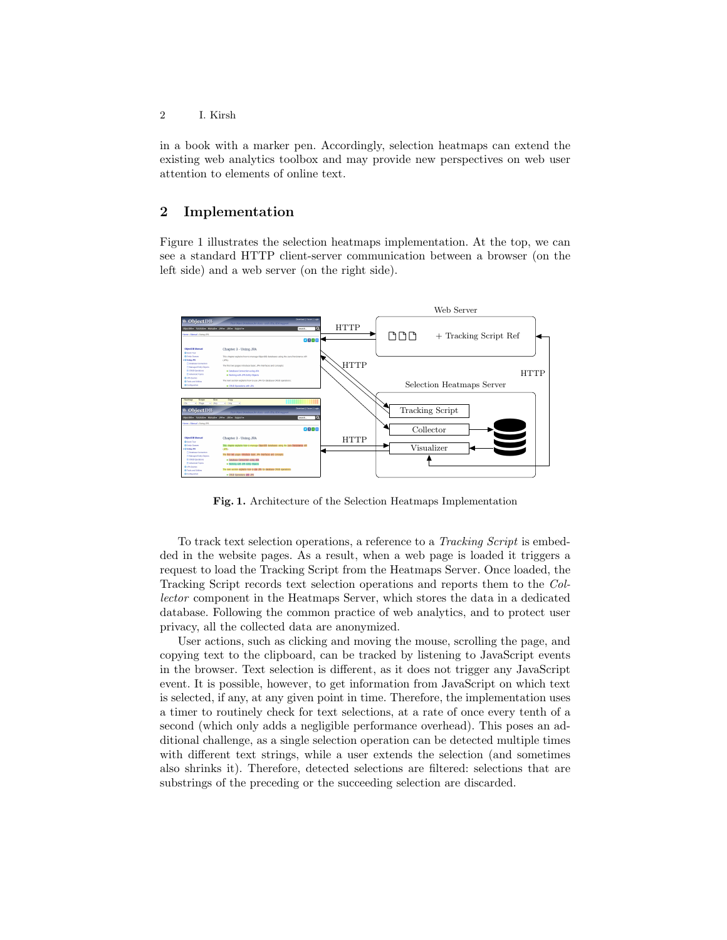in a book with a marker pen. Accordingly, selection heatmaps can extend the existing web analytics toolbox and may provide new perspectives on web user attention to elements of online text.

### 2 Implementation

Figure 1 illustrates the selection heatmaps implementation. At the top, we can see a standard HTTP client-server communication between a browser (on the left side) and a web server (on the right side).



Fig. 1. Architecture of the Selection Heatmaps Implementation

To track text selection operations, a reference to a Tracking Script is embedded in the website pages. As a result, when a web page is loaded it triggers a request to load the Tracking Script from the Heatmaps Server. Once loaded, the Tracking Script records text selection operations and reports them to the Collector component in the Heatmaps Server, which stores the data in a dedicated database. Following the common practice of web analytics, and to protect user privacy, all the collected data are anonymized.

User actions, such as clicking and moving the mouse, scrolling the page, and copying text to the clipboard, can be tracked by listening to JavaScript events in the browser. Text selection is different, as it does not trigger any JavaScript event. It is possible, however, to get information from JavaScript on which text is selected, if any, at any given point in time. Therefore, the implementation uses a timer to routinely check for text selections, at a rate of once every tenth of a second (which only adds a negligible performance overhead). This poses an additional challenge, as a single selection operation can be detected multiple times with different text strings, while a user extends the selection (and sometimes also shrinks it). Therefore, detected selections are filtered: selections that are substrings of the preceding or the succeeding selection are discarded.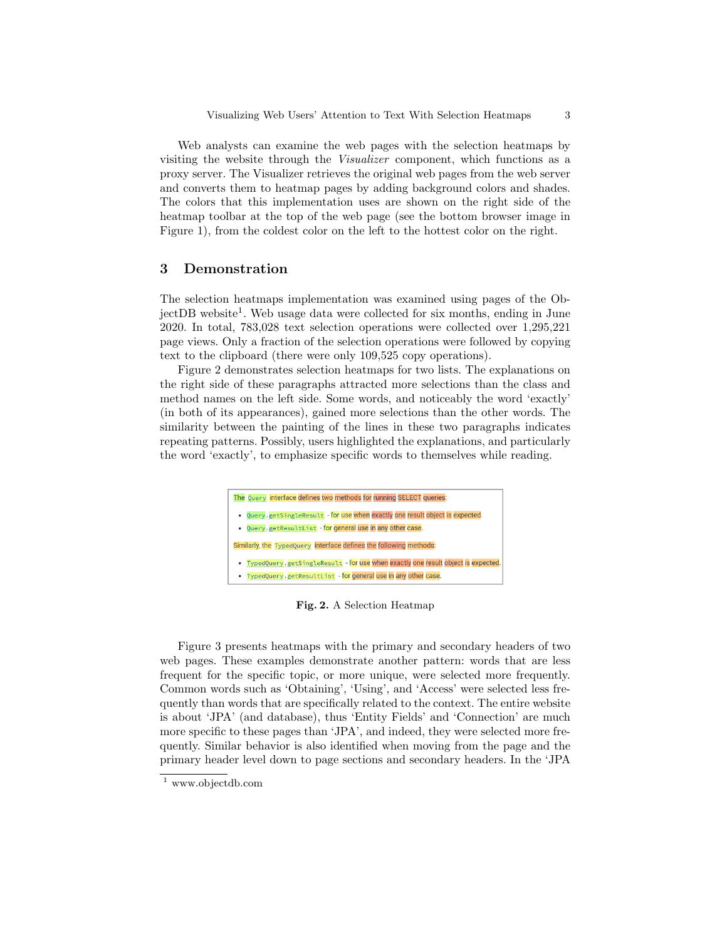Web analysts can examine the web pages with the selection heatmaps by visiting the website through the Visualizer component, which functions as a proxy server. The Visualizer retrieves the original web pages from the web server and converts them to heatmap pages by adding background colors and shades. The colors that this implementation uses are shown on the right side of the heatmap toolbar at the top of the web page (see the bottom browser image in Figure 1), from the coldest color on the left to the hottest color on the right.

#### 3 Demonstration

The selection heatmaps implementation was examined using pages of the ObjectDB website<sup>1</sup>. Web usage data were collected for six months, ending in June 2020. In total, 783,028 text selection operations were collected over 1,295,221 page views. Only a fraction of the selection operations were followed by copying text to the clipboard (there were only 109,525 copy operations).

Figure 2 demonstrates selection heatmaps for two lists. The explanations on the right side of these paragraphs attracted more selections than the class and method names on the left side. Some words, and noticeably the word 'exactly' (in both of its appearances), gained more selections than the other words. The similarity between the painting of the lines in these two paragraphs indicates repeating patterns. Possibly, users highlighted the explanations, and particularly the word 'exactly', to emphasize specific words to themselves while reading.



Fig. 2. A Selection Heatmap

Figure 3 presents heatmaps with the primary and secondary headers of two web pages. These examples demonstrate another pattern: words that are less frequent for the specific topic, or more unique, were selected more frequently. Common words such as 'Obtaining', 'Using', and 'Access' were selected less frequently than words that are specifically related to the context. The entire website is about 'JPA' (and database), thus 'Entity Fields' and 'Connection' are much more specific to these pages than 'JPA', and indeed, they were selected more frequently. Similar behavior is also identified when moving from the page and the primary header level down to page sections and secondary headers. In the 'JPA

 $\overline{1}$  www.objectdb.com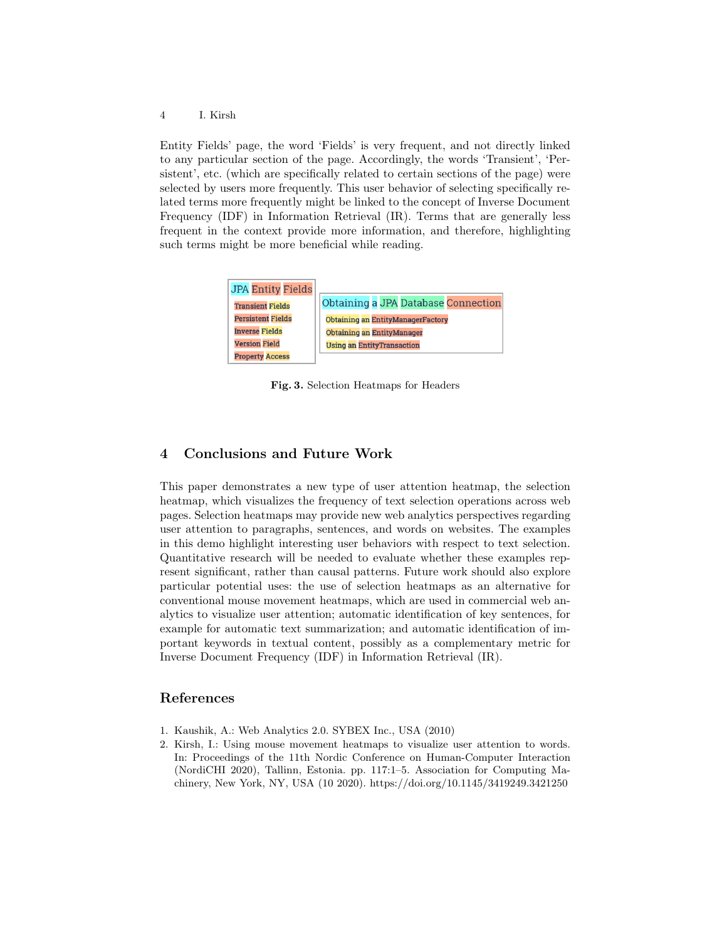#### 4 I. Kirsh

Entity Fields' page, the word 'Fields' is very frequent, and not directly linked to any particular section of the page. Accordingly, the words 'Transient', 'Persistent', etc. (which are specifically related to certain sections of the page) were selected by users more frequently. This user behavior of selecting specifically related terms more frequently might be linked to the concept of Inverse Document Frequency (IDF) in Information Retrieval (IR). Terms that are generally less frequent in the context provide more information, and therefore, highlighting such terms might be more beneficial while reading.



Fig. 3. Selection Heatmaps for Headers

## 4 Conclusions and Future Work

This paper demonstrates a new type of user attention heatmap, the selection heatmap, which visualizes the frequency of text selection operations across web pages. Selection heatmaps may provide new web analytics perspectives regarding user attention to paragraphs, sentences, and words on websites. The examples in this demo highlight interesting user behaviors with respect to text selection. Quantitative research will be needed to evaluate whether these examples represent significant, rather than causal patterns. Future work should also explore particular potential uses: the use of selection heatmaps as an alternative for conventional mouse movement heatmaps, which are used in commercial web analytics to visualize user attention; automatic identification of key sentences, for example for automatic text summarization; and automatic identification of important keywords in textual content, possibly as a complementary metric for Inverse Document Frequency (IDF) in Information Retrieval (IR).

#### References

- 1. Kaushik, A.: Web Analytics 2.0. SYBEX Inc., USA (2010)
- 2. Kirsh, I.: Using mouse movement heatmaps to visualize user attention to words. In: Proceedings of the 11th Nordic Conference on Human-Computer Interaction (NordiCHI 2020), Tallinn, Estonia. pp. 117:1–5. Association for Computing Machinery, New York, NY, USA (10 2020). https://doi.org/10.1145/3419249.3421250